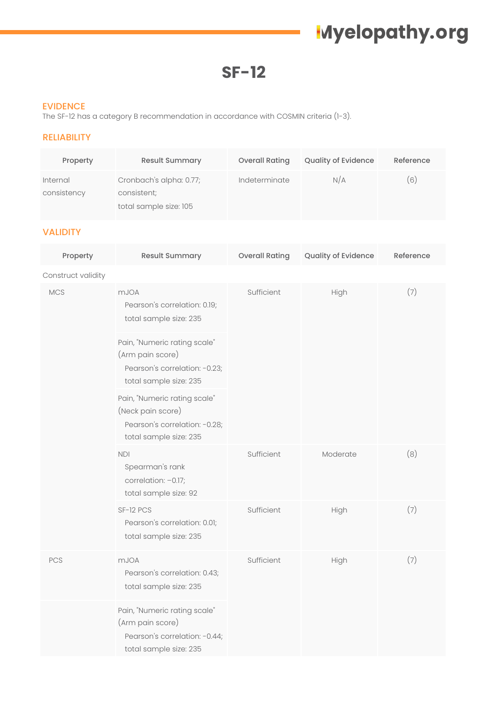# **Myelopathy.org**

**SF-12**

#### EVIDENCE

The SF-12 has a category B recommendation in accordance with COSMIN criteria (1-3).

### RELIABILITY

| Property                | <b>Result Summary</b>                                            | <b>Overall Rating</b> | <b>Quality of Evidence</b> | Reference |
|-------------------------|------------------------------------------------------------------|-----------------------|----------------------------|-----------|
| Internal<br>consistency | Cronbach's alpha: 0.77;<br>consistent;<br>total sample size: 105 | Indeterminate         | N/A                        | (6)       |

### VALIDITY

| Property           | <b>Result Summary</b>                                                                                        | <b>Overall Rating</b> | Quality of Evidence | Reference |
|--------------------|--------------------------------------------------------------------------------------------------------------|-----------------------|---------------------|-----------|
| Construct validity |                                                                                                              |                       |                     |           |
| <b>MCS</b>         | <b>mJOA</b><br>Pearson's correlation: 0.19;<br>total sample size: 235                                        | Sufficient            | High                | (7)       |
|                    | Pain, "Numeric rating scale"<br>(Arm pain score)<br>Pearson's correlation: -0.23;<br>total sample size: 235  |                       |                     |           |
|                    | Pain, "Numeric rating scale"<br>(Neck pain score)<br>Pearson's correlation: -0.28;<br>total sample size: 235 |                       |                     |           |
|                    | <b>NDI</b><br>Spearman's rank<br>correlation: -0.17;<br>total sample size: 92                                | Sufficient            | Moderate            | (8)       |
|                    | SF-12 PCS<br>Pearson's correlation: 0.01;<br>total sample size: 235                                          | Sufficient            | High                | (7)       |
| PCS                | <b>mJOA</b><br>Pearson's correlation: 0.43;<br>total sample size: 235                                        | Sufficient            | High                | (7)       |
|                    | Pain, "Numeric rating scale"<br>(Arm pain score)<br>Pearson's correlation: -0.44;<br>total sample size: 235  |                       |                     |           |